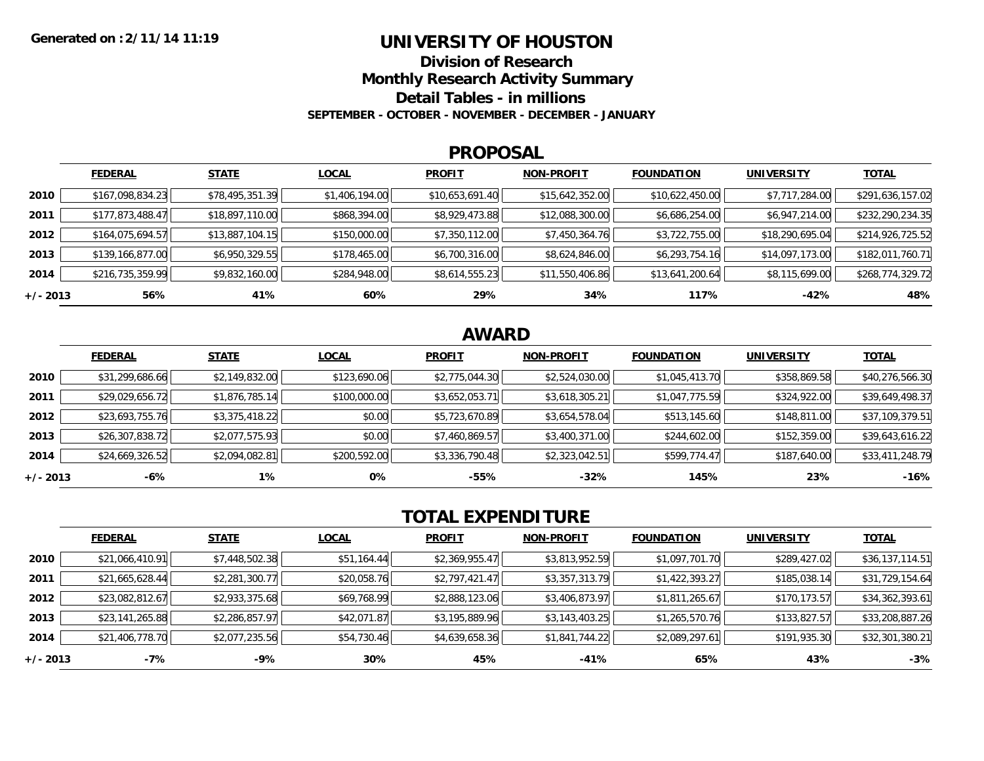### **UNIVERSITY OF HOUSTON**

**Division of Research**

**Monthly Research Activity Summary**

**Detail Tables - in millions**

**SEPTEMBER - OCTOBER - NOVEMBER - DECEMBER - JANUARY**

#### **PROPOSAL**

|            | <b>FEDERAL</b>   | <b>STATE</b>    | <b>LOCAL</b>   | <b>PROFIT</b>   | <b>NON-PROFIT</b> | <b>FOUNDATION</b> | <b>UNIVERSITY</b> | <b>TOTAL</b>     |
|------------|------------------|-----------------|----------------|-----------------|-------------------|-------------------|-------------------|------------------|
| 2010       | \$167,098,834.23 | \$78,495,351.39 | \$1,406,194.00 | \$10,653,691.40 | \$15,642,352.00   | \$10,622,450.00   | \$7,717,284.00    | \$291,636,157.02 |
| 2011       | \$177,873,488.47 | \$18,897,110.00 | \$868,394.00   | \$8,929,473.88  | \$12,088,300.00   | \$6,686,254.00    | \$6,947,214.00    | \$232,290,234.35 |
| 2012       | \$164,075,694.57 | \$13,887,104.15 | \$150,000.00   | \$7,350,112.00  | \$7,450,364.76    | \$3,722,755.00    | \$18,290,695.04   | \$214,926,725.52 |
| 2013       | \$139,166,877.00 | \$6,950,329.55  | \$178,465.00   | \$6,700,316.00  | \$8,624,846.00    | \$6,293,754.16    | \$14,097,173.00   | \$182,011,760.71 |
| 2014       | \$216,735,359.99 | \$9,832,160.00  | \$284,948.00   | \$8,614,555.23  | \$11,550,406.86   | \$13,641,200.64   | \$8,115,699.00    | \$268,774,329.72 |
| $+/- 2013$ | 56%              | 41%             | 60%            | 29%             | 34%               | 117%              | -42%              | 48%              |

## **AWARD**

|          | <b>FEDERAL</b>  | <b>STATE</b>   | <b>LOCAL</b> | <b>PROFIT</b>  | <b>NON-PROFIT</b> | <b>FOUNDATION</b> | <b>UNIVERSITY</b> | <b>TOTAL</b>    |
|----------|-----------------|----------------|--------------|----------------|-------------------|-------------------|-------------------|-----------------|
| 2010     | \$31,299,686.66 | \$2,149,832.00 | \$123,690.06 | \$2,775,044.30 | \$2,524,030.00    | \$1,045,413.70    | \$358,869.58      | \$40,276,566.30 |
| 2011     | \$29,029,656.72 | \$1,876,785.14 | \$100,000.00 | \$3,652,053.71 | \$3,618,305.21    | \$1,047,775.59    | \$324,922.00      | \$39,649,498.37 |
| 2012     | \$23,693,755.76 | \$3,375,418.22 | \$0.00       | \$5,723,670.89 | \$3,654,578.04    | \$513,145.60      | \$148,811.00      | \$37,109,379.51 |
| 2013     | \$26,307,838.72 | \$2,077,575.93 | \$0.00       | \$7,460,869.57 | \$3,400,371.00    | \$244,602.00      | \$152,359.00      | \$39,643,616.22 |
| 2014     | \$24,669,326.52 | \$2,094,082.81 | \$200,592.00 | \$3,336,790.48 | \$2,323,042.51    | \$599,774.47      | \$187,640.00      | \$33,411,248.79 |
| +/- 2013 | $-6%$           | $1\%$          | 0%           | $-55%$         | $-32%$            | 145%              | 23%               | $-16%$          |

# **TOTAL EXPENDITURE**

|            | <b>FEDERAL</b>  | <b>STATE</b>   | <b>LOCAL</b> | <b>PROFIT</b>  | <b>NON-PROFIT</b> | <b>FOUNDATION</b> | <b>UNIVERSITY</b> | <b>TOTAL</b>    |
|------------|-----------------|----------------|--------------|----------------|-------------------|-------------------|-------------------|-----------------|
| 2010       | \$21,066,410.91 | \$7,448,502.38 | \$51,164.44  | \$2,369,955.47 | \$3,813,952.59    | \$1,097,701.70    | \$289,427.02      | \$36,137,114.51 |
| 2011       | \$21,665,628.44 | \$2,281,300.77 | \$20,058.76  | \$2,797,421.47 | \$3,357,313.79    | \$1,422,393.27    | \$185,038.14      | \$31,729,154.64 |
| 2012       | \$23,082,812.67 | \$2,933,375.68 | \$69,768.99  | \$2,888,123.06 | \$3,406,873.97    | \$1,811,265.67    | \$170,173.57      | \$34,362,393.61 |
| 2013       | \$23,141,265.88 | \$2,286,857.97 | \$42,071.87  | \$3,195,889.96 | \$3,143,403.25    | \$1,265,570.76    | \$133,827.57      | \$33,208,887.26 |
| 2014       | \$21,406,778.70 | \$2,077,235.56 | \$54,730.46  | \$4,639,658.36 | \$1,841,744.22    | \$2,089,297.61    | \$191,935.30      | \$32,301,380.21 |
| $+/- 2013$ | -7%             | -9%            | 30%          | 45%            | $-41%$            | 65%               | 43%               | $-3%$           |